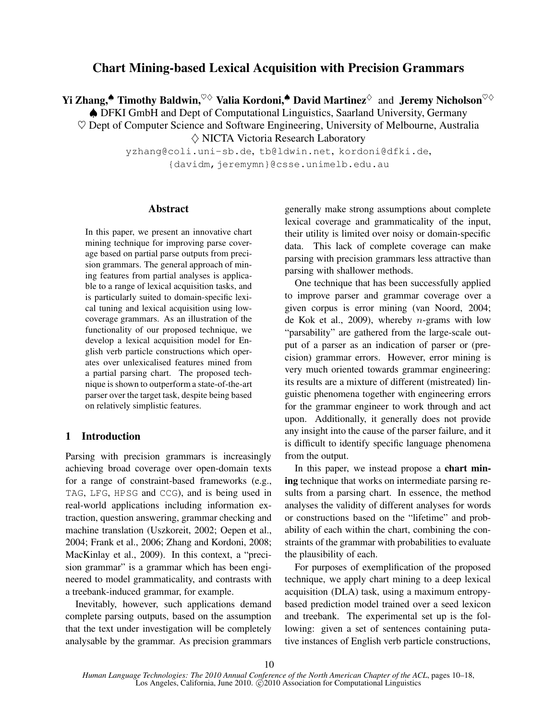# **Chart Mining-based Lexical Acquisition with Precision Grammars**

**Yi Zhang,**<sup>▲</sup> **Timothy Baldwin,**<sup>♡◇</sup> **Valia Kordoni,**<sup>▲</sup> **David Martinez**<sup>◇</sup> and **Jeremy Nicholson**<sup>♡◇</sup>

♠ DFKI GmbH and Dept of Computational Linguistics, Saarland University, Germany

 $\heartsuit$  Dept of Computer Science and Software Engineering, University of Melbourne, Australia  $\diamondsuit$  NICTA Victoria Research Laboratory

> yzhang@coli.uni-sb.de, tb@ldwin.net, kordoni@dfki.de, {davidm,jeremymn}@csse.unimelb.edu.au

## **Abstract**

In this paper, we present an innovative chart mining technique for improving parse coverage based on partial parse outputs from precision grammars. The general approach of mining features from partial analyses is applicable to a range of lexical acquisition tasks, and is particularly suited to domain-specific lexical tuning and lexical acquisition using lowcoverage grammars. As an illustration of the functionality of our proposed technique, we develop a lexical acquisition model for English verb particle constructions which operates over unlexicalised features mined from a partial parsing chart. The proposed technique is shown to outperform a state-of-the-art parser over the target task, despite being based on relatively simplistic features.

# **1 Introduction**

Parsing with precision grammars is increasingly achieving broad coverage over open-domain texts for a range of constraint-based frameworks (e.g., TAG, LFG, HPSG and CCG), and is being used in real-world applications including information extraction, question answering, grammar checking and machine translation (Uszkoreit, 2002; Oepen et al., 2004; Frank et al., 2006; Zhang and Kordoni, 2008; MacKinlay et al., 2009). In this context, a "precision grammar" is a grammar which has been engineered to model grammaticality, and contrasts with a treebank-induced grammar, for example.

Inevitably, however, such applications demand complete parsing outputs, based on the assumption that the text under investigation will be completely analysable by the grammar. As precision grammars generally make strong assumptions about complete lexical coverage and grammaticality of the input, their utility is limited over noisy or domain-specific data. This lack of complete coverage can make parsing with precision grammars less attractive than parsing with shallower methods.

One technique that has been successfully applied to improve parser and grammar coverage over a given corpus is error mining (van Noord, 2004; de Kok et al., 2009), whereby  $n$ -grams with low "parsability" are gathered from the large-scale output of a parser as an indication of parser or (precision) grammar errors. However, error mining is very much oriented towards grammar engineering: its results are a mixture of different (mistreated) linguistic phenomena together with engineering errors for the grammar engineer to work through and act upon. Additionally, it generally does not provide any insight into the cause of the parser failure, and it is difficult to identify specific language phenomena from the output.

In this paper, we instead propose a **chart mining** technique that works on intermediate parsing results from a parsing chart. In essence, the method analyses the validity of different analyses for words or constructions based on the "lifetime" and probability of each within the chart, combining the constraints of the grammar with probabilities to evaluate the plausibility of each.

For purposes of exemplification of the proposed technique, we apply chart mining to a deep lexical acquisition (DLA) task, using a maximum entropybased prediction model trained over a seed lexicon and treebank. The experimental set up is the following: given a set of sentences containing putative instances of English verb particle constructions,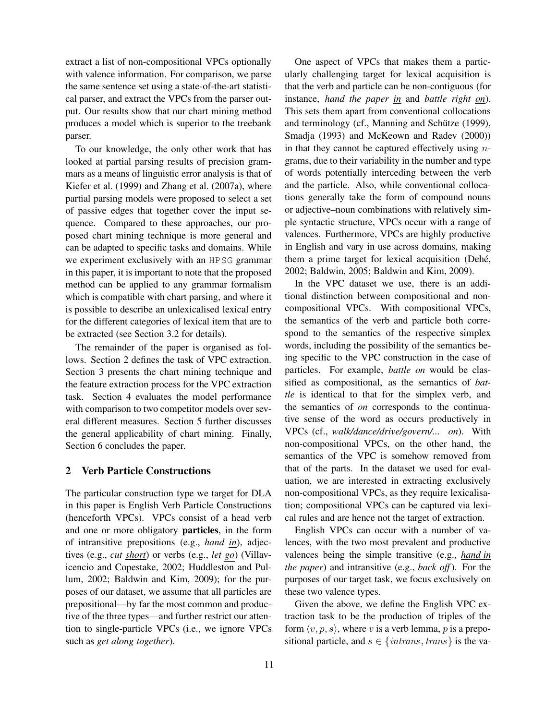extract a list of non-compositional VPCs optionally with valence information. For comparison, we parse the same sentence set using a state-of-the-art statistical parser, and extract the VPCs from the parser output. Our results show that our chart mining method produces a model which is superior to the treebank parser.

To our knowledge, the only other work that has looked at partial parsing results of precision grammars as a means of linguistic error analysis is that of Kiefer et al. (1999) and Zhang et al. (2007a), where partial parsing models were proposed to select a set of passive edges that together cover the input sequence. Compared to these approaches, our proposed chart mining technique is more general and can be adapted to specific tasks and domains. While we experiment exclusively with an HPSG grammar in this paper, it is important to note that the proposed method can be applied to any grammar formalism which is compatible with chart parsing, and where it is possible to describe an unlexicalised lexical entry for the different categories of lexical item that are to be extracted (see Section 3.2 for details).

The remainder of the paper is organised as follows. Section 2 defines the task of VPC extraction. Section 3 presents the chart mining technique and the feature extraction process for the VPC extraction task. Section 4 evaluates the model performance with comparison to two competitor models over several different measures. Section 5 further discusses the general applicability of chart mining. Finally, Section 6 concludes the paper.

## **2 Verb Particle Constructions**

The particular construction type we target for DLA in this paper is English Verb Particle Constructions (henceforth VPCs). VPCs consist of a head verb and one or more obligatory **particles**, in the form of intransitive prepositions (e.g., *hand in*), adjectives (e.g., *cut short*) or verbs (e.g., *let go*) (Villavicencio and Copestake, 2002; Huddleston and Pullum, 2002; Baldwin and Kim, 2009); for the purposes of our dataset, we assume that all particles are prepositional—by far the most common and productive of the three types—and further restrict our attention to single-particle VPCs (i.e., we ignore VPCs such as *get along together*).

One aspect of VPCs that makes them a particularly challenging target for lexical acquisition is that the verb and particle can be non-contiguous (for instance, *hand the paper in* and *battle right on*). This sets them apart from conventional collocations and terminology (cf., Manning and Schütze (1999), Smadja (1993) and McKeown and Radev (2000)) in that they cannot be captured effectively using  $n$ grams, due to their variability in the number and type of words potentially interceding between the verb and the particle. Also, while conventional collocations generally take the form of compound nouns or adjective–noun combinations with relatively simple syntactic structure, VPCs occur with a range of valences. Furthermore, VPCs are highly productive in English and vary in use across domains, making them a prime target for lexical acquisition (Dehé, 2002; Baldwin, 2005; Baldwin and Kim, 2009).

In the VPC dataset we use, there is an additional distinction between compositional and noncompositional VPCs. With compositional VPCs, the semantics of the verb and particle both correspond to the semantics of the respective simplex words, including the possibility of the semantics being specific to the VPC construction in the case of particles. For example, *battle on* would be classified as compositional, as the semantics of *battle* is identical to that for the simplex verb, and the semantics of *on* corresponds to the continuative sense of the word as occurs productively in VPCs (cf., *walk/dance/drive/govern/... on*). With non-compositional VPCs, on the other hand, the semantics of the VPC is somehow removed from that of the parts. In the dataset we used for evaluation, we are interested in extracting exclusively non-compositional VPCs, as they require lexicalisation; compositional VPCs can be captured via lexical rules and are hence not the target of extraction.

English VPCs can occur with a number of valences, with the two most prevalent and productive valences being the simple transitive (e.g., *hand in the paper*) and intransitive (e.g., *back off*). For the purposes of our target task, we focus exclusively on these two valence types.

Given the above, we define the English VPC extraction task to be the production of triples of the form  $\langle v, p, s \rangle$ , where v is a verb lemma, p is a prepositional particle, and  $s \in \{intrans, trans\}$  is the va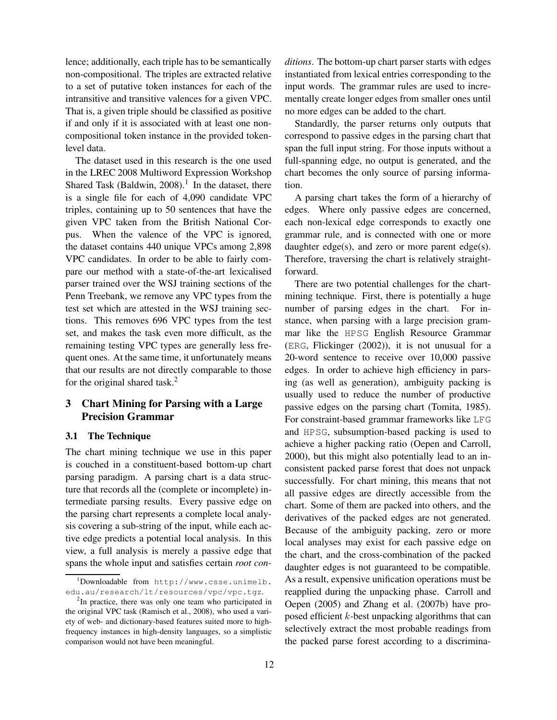lence; additionally, each triple has to be semantically non-compositional. The triples are extracted relative to a set of putative token instances for each of the intransitive and transitive valences for a given VPC. That is, a given triple should be classified as positive if and only if it is associated with at least one noncompositional token instance in the provided tokenlevel data.

The dataset used in this research is the one used in the LREC 2008 Multiword Expression Workshop Shared Task (Baldwin,  $2008$ ).<sup>1</sup> In the dataset, there is a single file for each of 4,090 candidate VPC triples, containing up to 50 sentences that have the given VPC taken from the British National Corpus. When the valence of the VPC is ignored, the dataset contains 440 unique VPCs among 2,898 VPC candidates. In order to be able to fairly compare our method with a state-of-the-art lexicalised parser trained over the WSJ training sections of the Penn Treebank, we remove any VPC types from the test set which are attested in the WSJ training sections. This removes 696 VPC types from the test set, and makes the task even more difficult, as the remaining testing VPC types are generally less frequent ones. At the same time, it unfortunately means that our results are not directly comparable to those for the original shared task. $<sup>2</sup>$ </sup>

# **3 Chart Mining for Parsing with a Large Precision Grammar**

## **3.1 The Technique**

The chart mining technique we use in this paper is couched in a constituent-based bottom-up chart parsing paradigm. A parsing chart is a data structure that records all the (complete or incomplete) intermediate parsing results. Every passive edge on the parsing chart represents a complete local analysis covering a sub-string of the input, while each active edge predicts a potential local analysis. In this view, a full analysis is merely a passive edge that spans the whole input and satisfies certain *root con-* *ditions*. The bottom-up chart parser starts with edges instantiated from lexical entries corresponding to the input words. The grammar rules are used to incrementally create longer edges from smaller ones until no more edges can be added to the chart.

Standardly, the parser returns only outputs that correspond to passive edges in the parsing chart that span the full input string. For those inputs without a full-spanning edge, no output is generated, and the chart becomes the only source of parsing information.

A parsing chart takes the form of a hierarchy of edges. Where only passive edges are concerned, each non-lexical edge corresponds to exactly one grammar rule, and is connected with one or more daughter edge(s), and zero or more parent edge(s). Therefore, traversing the chart is relatively straightforward.

There are two potential challenges for the chartmining technique. First, there is potentially a huge number of parsing edges in the chart. For instance, when parsing with a large precision grammar like the HPSG English Resource Grammar (ERG, Flickinger (2002)), it is not unusual for a 20-word sentence to receive over 10,000 passive edges. In order to achieve high efficiency in parsing (as well as generation), ambiguity packing is usually used to reduce the number of productive passive edges on the parsing chart (Tomita, 1985). For constraint-based grammar frameworks like LFG and HPSG, subsumption-based packing is used to achieve a higher packing ratio (Oepen and Carroll, 2000), but this might also potentially lead to an inconsistent packed parse forest that does not unpack successfully. For chart mining, this means that not all passive edges are directly accessible from the chart. Some of them are packed into others, and the derivatives of the packed edges are not generated. Because of the ambiguity packing, zero or more local analyses may exist for each passive edge on the chart, and the cross-combination of the packed daughter edges is not guaranteed to be compatible. As a result, expensive unification operations must be reapplied during the unpacking phase. Carroll and Oepen (2005) and Zhang et al. (2007b) have proposed efficient k-best unpacking algorithms that can selectively extract the most probable readings from the packed parse forest according to a discrimina-

 $^{\rm 1}$ Downloadable from http://www.csse.unimelb. edu.au/research/lt/resources/vpc/vpc.tgz.

<sup>&</sup>lt;sup>2</sup>In practice, there was only one team who participated in the original VPC task (Ramisch et al., 2008), who used a variety of web- and dictionary-based features suited more to highfrequency instances in high-density languages, so a simplistic comparison would not have been meaningful.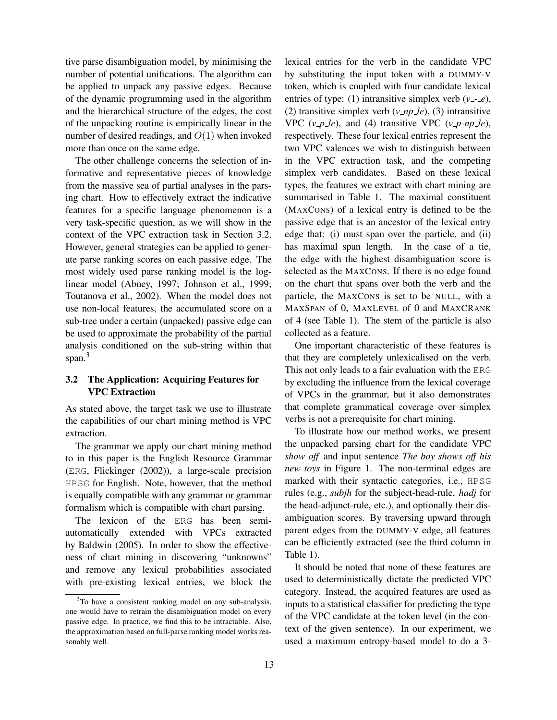tive parse disambiguation model, by minimising the number of potential unifications. The algorithm can be applied to unpack any passive edges. Because of the dynamic programming used in the algorithm and the hierarchical structure of the edges, the cost of the unpacking routine is empirically linear in the number of desired readings, and  $O(1)$  when invoked more than once on the same edge.

The other challenge concerns the selection of informative and representative pieces of knowledge from the massive sea of partial analyses in the parsing chart. How to effectively extract the indicative features for a specific language phenomenon is a very task-specific question, as we will show in the context of the VPC extraction task in Section 3.2. However, general strategies can be applied to generate parse ranking scores on each passive edge. The most widely used parse ranking model is the loglinear model (Abney, 1997; Johnson et al., 1999; Toutanova et al., 2002). When the model does not use non-local features, the accumulated score on a sub-tree under a certain (unpacked) passive edge can be used to approximate the probability of the partial analysis conditioned on the sub-string within that span.<sup>3</sup>

# **3.2 The Application: Acquiring Features for VPC Extraction**

As stated above, the target task we use to illustrate the capabilities of our chart mining method is VPC extraction.

The grammar we apply our chart mining method to in this paper is the English Resource Grammar (ERG, Flickinger (2002)), a large-scale precision HPSG for English. Note, however, that the method is equally compatible with any grammar or grammar formalism which is compatible with chart parsing.

The lexicon of the ERG has been semiautomatically extended with VPCs extracted by Baldwin (2005). In order to show the effectiveness of chart mining in discovering "unknowns" and remove any lexical probabilities associated with pre-existing lexical entries, we block the lexical entries for the verb in the candidate VPC by substituting the input token with a DUMMY-V token, which is coupled with four candidate lexical entries of type: (1) intransitive simplex verb  $(v - e)$ , (2) transitive simplex verb  $(v \_ np \_ le)$ , (3) intransitive VPC  $(v\_p\_le)$ , and (4) transitive VPC  $(v\_p-np\_le)$ , respectively. These four lexical entries represent the two VPC valences we wish to distinguish between in the VPC extraction task, and the competing simplex verb candidates. Based on these lexical types, the features we extract with chart mining are summarised in Table 1. The maximal constituent (MAXCONS) of a lexical entry is defined to be the passive edge that is an ancestor of the lexical entry edge that: (i) must span over the particle, and (ii) has maximal span length. In the case of a tie, the edge with the highest disambiguation score is selected as the MAXCONS. If there is no edge found on the chart that spans over both the verb and the particle, the MAXCONS is set to be NULL, with a MAXSPAN of 0, MAXLEVEL of 0 and MAXCRANK of 4 (see Table 1). The stem of the particle is also collected as a feature.

One important characteristic of these features is that they are completely unlexicalised on the verb. This not only leads to a fair evaluation with the ERG by excluding the influence from the lexical coverage of VPCs in the grammar, but it also demonstrates that complete grammatical coverage over simplex verbs is not a prerequisite for chart mining.

To illustrate how our method works, we present the unpacked parsing chart for the candidate VPC *show off* and input sentence *The boy shows off his new toys* in Figure 1. The non-terminal edges are marked with their syntactic categories, i.e., HPSG rules (e.g., *subjh* for the subject-head-rule, *hadj* for the head-adjunct-rule, etc.), and optionally their disambiguation scores. By traversing upward through parent edges from the DUMMY-V edge, all features can be efficiently extracted (see the third column in Table 1).

It should be noted that none of these features are used to deterministically dictate the predicted VPC category. Instead, the acquired features are used as inputs to a statistical classifier for predicting the type of the VPC candidate at the token level (in the context of the given sentence). In our experiment, we used a maximum entropy-based model to do a 3-

 $3$ To have a consistent ranking model on any sub-analysis, one would have to retrain the disambiguation model on every passive edge. In practice, we find this to be intractable. Also, the approximation based on full-parse ranking model works reasonably well.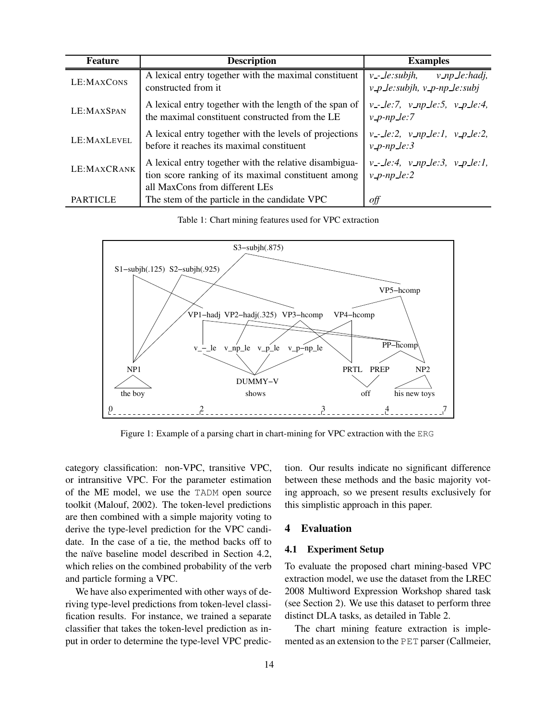| <b>Feature</b>  | <b>Description</b>                                                                                                                              | <b>Examples</b>                                                                |  |  |  |  |
|-----------------|-------------------------------------------------------------------------------------------------------------------------------------------------|--------------------------------------------------------------------------------|--|--|--|--|
| LE:MAXCONS      | A lexical entry together with the maximal constituent<br>constructed from it.                                                                   | $v$ _np_le:hadj,<br>$v$ -- $le: subjh,$<br>$v_p$ le: subjh, $v_p$ -np le: subj |  |  |  |  |
| LE:MAXSPAN      | A lexical entry together with the length of the span of<br>the maximal constituent constructed from the LE                                      | $v - le: 7$ , $v_n p \leq .5$ , $v_n p \leq .4$ ,<br>$v$ -p-np-le:7            |  |  |  |  |
| LE:MAXLEVEL     | A lexical entry together with the levels of projections<br>before it reaches its maximal constituent                                            | $v - le: 2, v \nmp le: 1, v \np le: 2,$<br>$v$ -p-np-le:3                      |  |  |  |  |
| LE:MAXCRANK     | A lexical entry together with the relative disambigua-<br>tion score ranking of its maximal constituent among<br>all MaxCons from different LEs | $v$ --le:4, $v$ -np-le:3, $v$ -p-le:1,<br>$v$ -p-np-le:2                       |  |  |  |  |
| <b>PARTICLE</b> | The stem of the particle in the candidate VPC                                                                                                   | off                                                                            |  |  |  |  |

Table 1: Chart mining features used for VPC extraction



Figure 1: Example of a parsing chart in chart-mining for VPC extraction with the ERG

category classification: non-VPC, transitive VPC, or intransitive VPC. For the parameter estimation of the ME model, we use the TADM open source toolkit (Malouf, 2002). The token-level predictions are then combined with a simple majority voting to derive the type-level prediction for the VPC candidate. In the case of a tie, the method backs off to the naïve baseline model described in Section 4.2, which relies on the combined probability of the verb and particle forming a VPC.

We have also experimented with other ways of deriving type-level predictions from token-level classification results. For instance, we trained a separate classifier that takes the token-level prediction as input in order to determine the type-level VPC prediction. Our results indicate no significant difference between these methods and the basic majority voting approach, so we present results exclusively for this simplistic approach in this paper.

### **4 Evaluation**

### **4.1 Experiment Setup**

To evaluate the proposed chart mining-based VPC extraction model, we use the dataset from the LREC 2008 Multiword Expression Workshop shared task (see Section 2). We use this dataset to perform three distinct DLA tasks, as detailed in Table 2.

The chart mining feature extraction is implemented as an extension to the PET parser (Callmeier,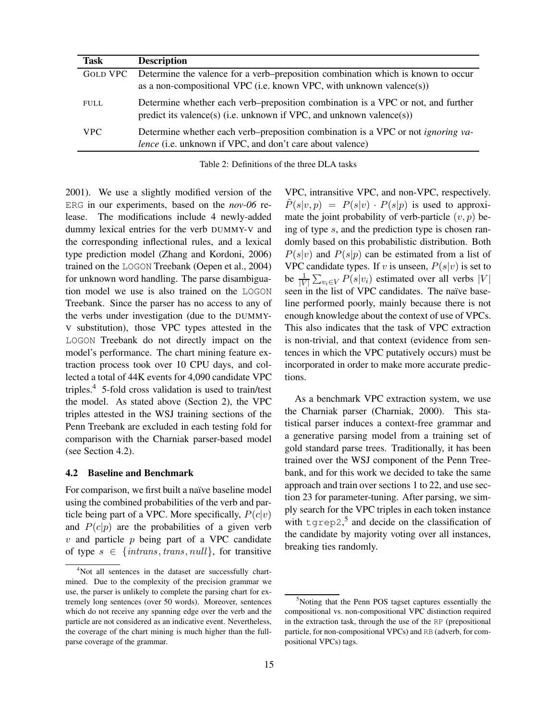| Task        | <b>Description</b>                                                                                                                                           |
|-------------|--------------------------------------------------------------------------------------------------------------------------------------------------------------|
| GOLD VPC    | Determine the valence for a verb–preposition combination which is known to occur<br>as a non-compositional VPC (i.e. known VPC, with unknown valence(s))     |
| <b>FULL</b> | Determine whether each verb–preposition combination is a VPC or not, and further<br>predict its valence(s) (i.e. unknown if VPC, and unknown valence(s))     |
| <b>VPC</b>  | Determine whether each verb-preposition combination is a VPC or not <i>ignoring va</i> -<br><i>lence</i> (i.e. unknown if VPC, and don't care about valence) |

Table 2: Definitions of the three DLA tasks

2001). We use a slightly modified version of the ERG in our experiments, based on the *nov-06* release. The modifications include 4 newly-added dummy lexical entries for the verb DUMMY-V and the corresponding inflectional rules, and a lexical type prediction model (Zhang and Kordoni, 2006) trained on the LOGON Treebank (Oepen et al., 2004) for unknown word handling. The parse disambiguation model we use is also trained on the LOGON Treebank. Since the parser has no access to any of the verbs under investigation (due to the DUMMY-V substitution), those VPC types attested in the LOGON Treebank do not directly impact on the model's performance. The chart mining feature extraction process took over 10 CPU days, and collected a total of 44K events for 4,090 candidate VPC triples. $4$  5-fold cross validation is used to train/test the model. As stated above (Section 2), the VPC triples attested in the WSJ training sections of the Penn Treebank are excluded in each testing fold for comparison with the Charniak parser-based model (see Section 4.2).

#### **4.2 Baseline and Benchmark**

For comparison, we first built a naïve baseline model using the combined probabilities of the verb and particle being part of a VPC. More specifically,  $P(c|v)$ and  $P(c|p)$  are the probabilities of a given verb  $v$  and particle  $p$  being part of a VPC candidate of type  $s \in \{intrans, trans, null\}$ , for transitive VPC, intransitive VPC, and non-VPC, respectively.  $\tilde{P}(s|v,p) = P(s|v) \cdot P(s|p)$  is used to approximate the joint probability of verb-particle  $(v, p)$  being of type s, and the prediction type is chosen randomly based on this probabilistic distribution. Both  $P(s|v)$  and  $P(s|p)$  can be estimated from a list of VPC candidate types. If v is unseen,  $P(s|v)$  is set to be  $\frac{1}{|V|}\sum_{v_i\in V} P(s|v_i)$  estimated over all verbs  $|V|$ seen in the list of VPC candidates. The naïve baseline performed poorly, mainly because there is not enough knowledge about the context of use of VPCs. This also indicates that the task of VPC extraction is non-trivial, and that context (evidence from sentences in which the VPC putatively occurs) must be incorporated in order to make more accurate predictions.

As a benchmark VPC extraction system, we use the Charniak parser (Charniak, 2000). This statistical parser induces a context-free grammar and a generative parsing model from a training set of gold standard parse trees. Traditionally, it has been trained over the WSJ component of the Penn Treebank, and for this work we decided to take the same approach and train over sections 1 to 22, and use section 23 for parameter-tuning. After parsing, we simply search for the VPC triples in each token instance with  $\text{type2},^5$  and decide on the classification of the candidate by majority voting over all instances, breaking ties randomly.

<sup>&</sup>lt;sup>4</sup>Not all sentences in the dataset are successfully chartmined. Due to the complexity of the precision grammar we use, the parser is unlikely to complete the parsing chart for extremely long sentences (over 50 words). Moreover, sentences which do not receive any spanning edge over the verb and the particle are not considered as an indicative event. Nevertheless, the coverage of the chart mining is much higher than the fullparse coverage of the grammar.

 $5$ Noting that the Penn POS tagset captures essentially the compositional vs. non-compositional VPC distinction required in the extraction task, through the use of the RP (prepositional particle, for non-compositional VPCs) and RB (adverb, for compositional VPCs) tags.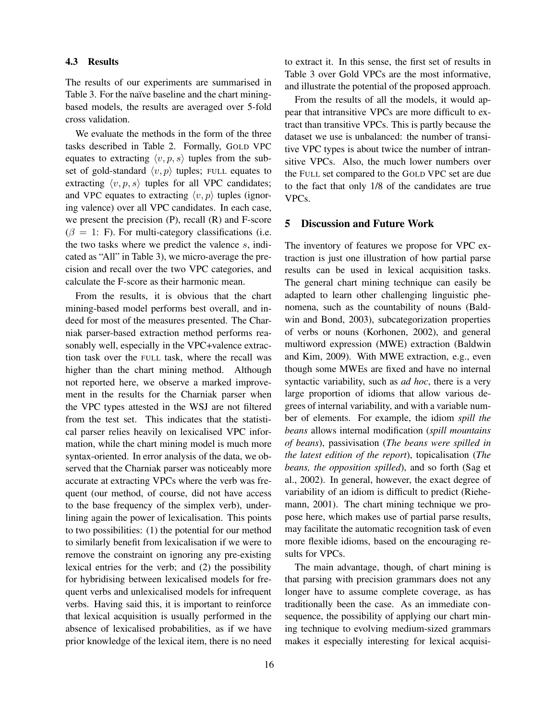### **4.3 Results**

The results of our experiments are summarised in Table 3. For the naïve baseline and the chart miningbased models, the results are averaged over 5-fold cross validation.

We evaluate the methods in the form of the three tasks described in Table 2. Formally, GOLD VPC equates to extracting  $\langle v,p,s \rangle$  tuples from the subset of gold-standard  $\langle v, p \rangle$  tuples; FULL equates to extracting  $\langle v, p, s \rangle$  tuples for all VPC candidates; and VPC equates to extracting  $\langle v, p \rangle$  tuples (ignoring valence) over all VPC candidates. In each case, we present the precision (P), recall (R) and F-score  $(\beta = 1: F)$ . For multi-category classifications (i.e. the two tasks where we predict the valence  $s$ , indicated as "All" in Table 3), we micro-average the precision and recall over the two VPC categories, and calculate the F-score as their harmonic mean.

From the results, it is obvious that the chart mining-based model performs best overall, and indeed for most of the measures presented. The Charniak parser-based extraction method performs reasonably well, especially in the VPC+valence extraction task over the FULL task, where the recall was higher than the chart mining method. Although not reported here, we observe a marked improvement in the results for the Charniak parser when the VPC types attested in the WSJ are not filtered from the test set. This indicates that the statistical parser relies heavily on lexicalised VPC information, while the chart mining model is much more syntax-oriented. In error analysis of the data, we observed that the Charniak parser was noticeably more accurate at extracting VPCs where the verb was frequent (our method, of course, did not have access to the base frequency of the simplex verb), underlining again the power of lexicalisation. This points to two possibilities: (1) the potential for our method to similarly benefit from lexicalisation if we were to remove the constraint on ignoring any pre-existing lexical entries for the verb; and (2) the possibility for hybridising between lexicalised models for frequent verbs and unlexicalised models for infrequent verbs. Having said this, it is important to reinforce that lexical acquisition is usually performed in the absence of lexicalised probabilities, as if we have prior knowledge of the lexical item, there is no need to extract it. In this sense, the first set of results in Table 3 over Gold VPCs are the most informative, and illustrate the potential of the proposed approach.

From the results of all the models, it would appear that intransitive VPCs are more difficult to extract than transitive VPCs. This is partly because the dataset we use is unbalanced: the number of transitive VPC types is about twice the number of intransitive VPCs. Also, the much lower numbers over the FULL set compared to the GOLD VPC set are due to the fact that only 1/8 of the candidates are true VPCs.

#### **5 Discussion and Future Work**

The inventory of features we propose for VPC extraction is just one illustration of how partial parse results can be used in lexical acquisition tasks. The general chart mining technique can easily be adapted to learn other challenging linguistic phenomena, such as the countability of nouns (Baldwin and Bond, 2003), subcategorization properties of verbs or nouns (Korhonen, 2002), and general multiword expression (MWE) extraction (Baldwin and Kim, 2009). With MWE extraction, e.g., even though some MWEs are fixed and have no internal syntactic variability, such as *ad hoc*, there is a very large proportion of idioms that allow various degrees of internal variability, and with a variable number of elements. For example, the idiom *spill the beans* allows internal modification (*spill mountains of beans*), passivisation (*The beans were spilled in the latest edition of the report*), topicalisation (*The beans, the opposition spilled*), and so forth (Sag et al., 2002). In general, however, the exact degree of variability of an idiom is difficult to predict (Riehemann, 2001). The chart mining technique we propose here, which makes use of partial parse results, may facilitate the automatic recognition task of even more flexible idioms, based on the encouraging results for VPCs.

The main advantage, though, of chart mining is that parsing with precision grammars does not any longer have to assume complete coverage, as has traditionally been the case. As an immediate consequence, the possibility of applying our chart mining technique to evolving medium-sized grammars makes it especially interesting for lexical acquisi-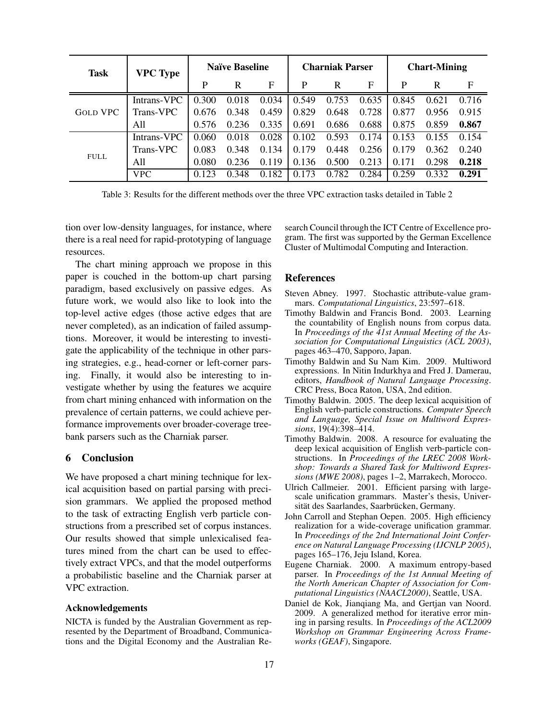| <b>Task</b>     | <b>VPC Type</b> | <b>Naïve Baseline</b> |       | <b>Charniak Parser</b> |       |       | <b>Chart-Mining</b> |       |       |       |
|-----------------|-----------------|-----------------------|-------|------------------------|-------|-------|---------------------|-------|-------|-------|
|                 |                 | P                     | R     | F                      | P     | R     | F                   | P     | R     | F     |
| <b>GOLD VPC</b> | Intrans-VPC     | 0.300                 | 0.018 | 0.034                  | 0.549 | 0.753 | 0.635               | 0.845 | 0.621 | 0.716 |
|                 | Trans-VPC       | 0.676                 | 0.348 | 0.459                  | 0.829 | 0.648 | 0.728               | 0.877 | 0.956 | 0.915 |
|                 | All             | 0.576                 | 0.236 | 0.335                  | 0.691 | 0.686 | 0.688               | 0.875 | 0.859 | 0.867 |
| <b>FULL</b>     | Intrans-VPC     | 0.060                 | 0.018 | 0.028                  | 0.102 | 0.593 | 0.174               | 0.153 | 0.155 | 0.154 |
|                 | Trans-VPC       | 0.083                 | 0.348 | 0.134                  | 0.179 | 0.448 | 0.256               | 0.179 | 0.362 | 0.240 |
|                 | A11             | 0.080                 | 0.236 | 0.119                  | 0.136 | 0.500 | 0.213               | 0.171 | 0.298 | 0.218 |
|                 | <b>VPC</b>      | 0.123                 | 0.348 | 0.182                  | 0.173 | 0.782 | 0.284               | 0.259 | 0.332 | 0.291 |

Table 3: Results for the different methods over the three VPC extraction tasks detailed in Table 2

tion over low-density languages, for instance, where there is a real need for rapid-prototyping of language resources.

The chart mining approach we propose in this paper is couched in the bottom-up chart parsing paradigm, based exclusively on passive edges. As future work, we would also like to look into the top-level active edges (those active edges that are never completed), as an indication of failed assumptions. Moreover, it would be interesting to investigate the applicability of the technique in other parsing strategies, e.g., head-corner or left-corner parsing. Finally, it would also be interesting to investigate whether by using the features we acquire from chart mining enhanced with information on the prevalence of certain patterns, we could achieve performance improvements over broader-coverage treebank parsers such as the Charniak parser.

## **6 Conclusion**

We have proposed a chart mining technique for lexical acquisition based on partial parsing with precision grammars. We applied the proposed method to the task of extracting English verb particle constructions from a prescribed set of corpus instances. Our results showed that simple unlexicalised features mined from the chart can be used to effectively extract VPCs, and that the model outperforms a probabilistic baseline and the Charniak parser at VPC extraction.

#### **Acknowledgements**

NICTA is funded by the Australian Government as represented by the Department of Broadband, Communications and the Digital Economy and the Australian Research Council through the ICT Centre of Excellence program. The first was supported by the German Excellence Cluster of Multimodal Computing and Interaction.

#### **References**

- Steven Abney. 1997. Stochastic attribute-value grammars. *Computational Linguistics*, 23:597–618.
- Timothy Baldwin and Francis Bond. 2003. Learning the countability of English nouns from corpus data. In *Proceedings of the 41st Annual Meeting of the Association for Computational Linguistics (ACL 2003)*, pages 463–470, Sapporo, Japan.
- Timothy Baldwin and Su Nam Kim. 2009. Multiword expressions. In Nitin Indurkhya and Fred J. Damerau, editors, *Handbook of Natural Language Processing*. CRC Press, Boca Raton, USA, 2nd edition.
- Timothy Baldwin. 2005. The deep lexical acquisition of English verb-particle constructions. *Computer Speech and Language, Special Issue on Multiword Expressions*, 19(4):398–414.
- Timothy Baldwin. 2008. A resource for evaluating the deep lexical acquisition of English verb-particle constructions. In *Proceedings of the LREC 2008 Workshop: Towards a Shared Task for Multiword Expressions (MWE 2008)*, pages 1–2, Marrakech, Morocco.
- Ulrich Callmeier. 2001. Efficient parsing with largescale unification grammars. Master's thesis, Universität des Saarlandes, Saarbrücken, Germany.
- John Carroll and Stephan Oepen. 2005. High efficiency realization for a wide-coverage unification grammar. In *Proceedings of the 2nd International Joint Conference on Natural Language Processing (IJCNLP 2005)*, pages 165–176, Jeju Island, Korea.
- Eugene Charniak. 2000. A maximum entropy-based parser. In *Proceedings of the 1st Annual Meeting of the North American Chapter of Association for Computational Linguistics (NAACL2000)*, Seattle, USA.
- Daniel de Kok, Jianqiang Ma, and Gertjan van Noord. 2009. A generalized method for iterative error mining in parsing results. In *Proceedings of the ACL2009 Workshop on Grammar Engineering Across Frameworks (GEAF)*, Singapore.